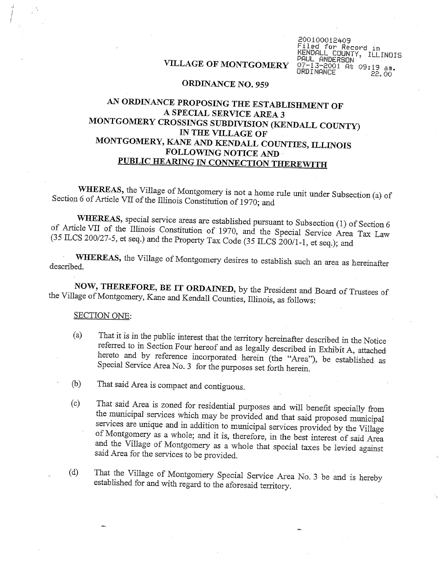# VILLAGE OF MONTGOMERY

200100012409 iled for Record in KENDALL COUNTY, ILLINOIS PAUL ANDERSON 07-13-2001 At 09:19 am. **ORDINANCE** 22.00

### **ORDINANCE NO. 959**

# AN ORDINANCE PROPOSING THE ESTABLISHMENT OF A SPECIAL SERVICE AREA 3 MONTGOMERY CROSSINGS SUBDIVISION (KENDALL COUNTY) IN THE VILLAGE OF MONTGOMERY, KANE AND KENDALL COUNTIES, ILLINOIS FOLLOWING NOTICE AND PUBLIC HEARING IN CONNECTION THEREWITH

WHEREAS, the Village of Montgomery is not a home rule unit under Subsection (a) of Section 6 of Article VII of the Illinois Constitution of 1970; and

WHEREAS, special service areas are established pursuant to Subsection (1) of Section 6 of Article VII of the Illinois Constitution of 1970, and the Special Service Area Tax Law (35 ILCS 200/27-5, et seq.) and the Property Tax Code (35 ILCS 200/1-1, et seq.); and

WHEREAS, the Village of Montgomery desires to establish such an area as hereinafter described.

NOW, THEREFORE, BE IT ORDAINED, by the President and Board of Trustees of the Village of Montgomery, Kane and Kendall Counties, Illinois, as follows:

## **SECTION ONE:**

- That it is in the public interest that the territory hereinafter described in the Notice  $(a)$ referred to in Section Four hereof and as legally described in Exhibit A, attached hereto and by reference incorporated herein (the "Area"), be established as Special Service Area No. 3 for the purposes set forth herein.
- That said Area is compact and contiguous. (b)
- That said Area is zoned for residential purposes and will benefit specially from  $(c)$ the municipal services which may be provided and that said proposed municipal services are unique and in addition to municipal services provided by the Village of Montgomery as a whole; and it is, therefore, in the best interest of said Area and the Village of Montgomery as a whole that special taxes be levied against said Area for the services to be provided.
- That the Village of Montgomery Special Service Area No. 3 be and is hereby  $(d)$ established for and with regard to the aforesaid territory.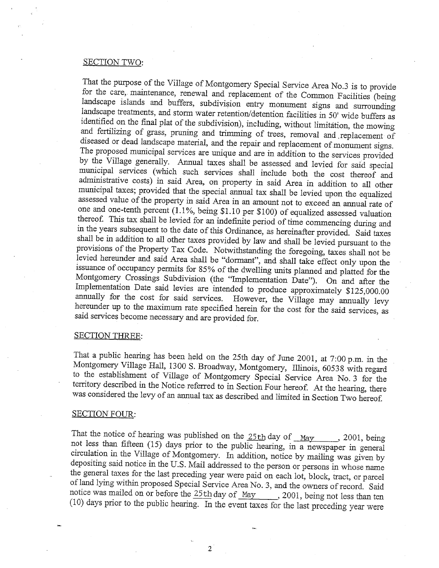## SECTION TWO:

That the purpose of the Village of Montgomery Special Service Area No.3 is to provide for the care, maintenance, renewal and replacement of the Common Facilities (being landscape islands and buffers, subdivision entry monument signs and surrounding landscape treatments, and storm water retention/detention facilities in 50' wide buffers as identified on the final plat of the subdivision), including, without limitation, the mowing and fertilizing of grass, pruning and trimming of trees, removal and replacement of diseased or dead landscape material, and the repair and replacement of monument signs. The proposed municipal services are unique and are in addition to the services provided by the Village generally. Annual taxes shall be assessed and levied for said special municipal services (which such services shall include both the cost thereof and administrative costs) in said Area, on property in said Area in addition to all other municipal taxes; provided that the special annual tax shall be levied upon the equalized assessed value of the property in said Area in an amount not to exceed an annual rate of one and one-tenth percent (1.1%, being \$1.10 per \$100) of equalized assessed valuation thereof. This tax shall be levied for an indefinite period of time commencing during and in the years subsequent to the date of this Ordinance, as hereinafter provided. Said taxes shall be in addition to all other taxes provided by law and shall be levied pursuant to the provisions of the Property Tax Code. Notwithstanding the foregoing, taxes shall not be levied hereunder and said Area shall be "dormant", and shall take effect only upon the issuance of occupancy permits for 85% of the dwelling units planned and platted for the Montgomery Crossings Subdivision (the "Implementation Date"). On and after the Implementation Date said levies are intended to produce approximately \$125,000.00 annually for the cost for said services. However, the Village may annually levy hereunder up to the maximum rate specified herein for the cost for the said services, as said services become necessary and are provided for.

#### **SECTION THREE:**

That a public hearing has been held on the 25th day of June 2001, at 7:00 p.m. in the Montgomery Village Hall, 1300 S. Broadway, Montgomery, Illinois, 60538 with regard to the establishment of Village of Montgomery Special Service Area No. 3 for the territory described in the Notice referred to in Section Four hereof. At the hearing, there was considered the levy of an annual tax as described and limited in Section Two hereof.

## **SECTION FOUR:**

That the notice of hearing was published on the  $25th$  day of  $\text{May}$  2001, being not less than fifteen (15) days prior to the public hearing, in a newspaper in general circulation in the Village of Montgomery. In addition, notice by mailing was given by depositing said notice in the U.S. Mail addressed to the person or persons in whose name the general taxes for the last preceding year were paid on each lot, block, tract, or parcel of land lying within proposed Special Service Area No. 3, and the owners of record. Said notice was mailed on or before the 25th day of May 2001, being not less than ten (10) days prior to the public hearing. In the event taxes for the last preceding year were

2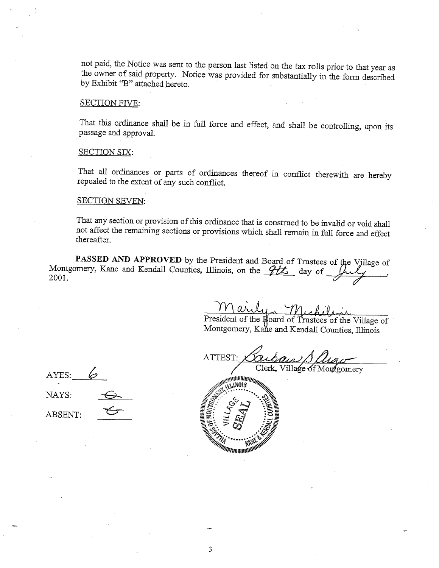not paid, the Notice was sent to the person last listed on the tax rolls prior to that year as the owner of said property. Notice was provided for substantially in the form described by Exhibit "B" attached hereto.

### **SECTION FIVE:**

That this ordinance shall be in full force and effect, and shall be controlling, upon its passage and approval.

#### **SECTION SIX:**

That all ordinances or parts of ordinances thereof in conflict therewith are hereby repealed to the extent of any such conflict.

#### **SECTION SEVEN:**

That any section or provision of this ordinance that is construed to be invalid or void shall not affect the remaining sections or provisions which shall remain in full force and effect thereafter.

PASSED AND APPROVED by the President and Board of Trustees of the Village of Montgomery, Kane and Kendall Counties, Illinois, on the  $\frac{\partial L}{\partial s}$  day of  $\frac{\partial L}{\partial s}$ 2001.

Uya Wick

President of the Board of Trustees of the Village of Montgomery, Kane and Kendall Counties, Illinois

ATTEST: Clerk, Village of Montgomery



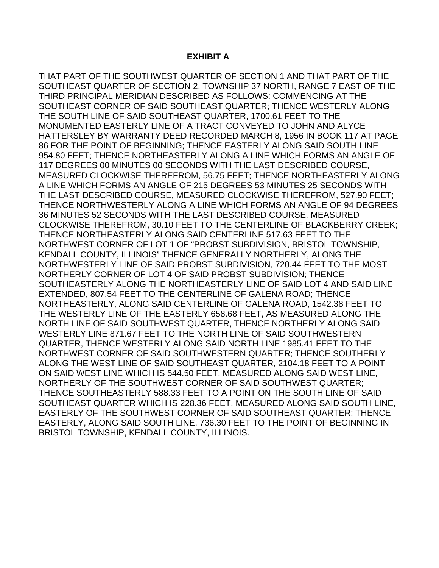## **EXHIBIT A**

THAT PART OF THE SOUTHWEST QUARTER OF SECTION 1 AND THAT PART OF THE SOUTHEAST QUARTER OF SECTION 2, TOWNSHIP 37 NORTH, RANGE 7 EAST OF THE THIRD PRINCIPAL MERIDIAN DESCRIBED AS FOLLOWS: COMMENCING AT THE SOUTHEAST CORNER OF SAID SOUTHEAST QUARTER; THENCE WESTERLY ALONG THE SOUTH LINE OF SAID SOUTHEAST QUARTER, 1700.61 FEET TO THE MONUMENTED EASTERLY LINE OF A TRACT CONVEYED TO JOHN AND ALYCE HATTERSLEY BY WARRANTY DEED RECORDED MARCH 8, 1956 IN BOOK 117 AT PAGE 86 FOR THE POINT OF BEGINNING; THENCE EASTERLY ALONG SAID SOUTH LINE 954.80 FEET; THENCE NORTHEASTERLY ALONG A LINE WHICH FORMS AN ANGLE OF 117 DEGREES 00 MINUTES 00 SECONDS WITH THE LAST DESCRIBED COURSE, MEASURED CLOCKWISE THEREFROM, 56.75 FEET; THENCE NORTHEASTERLY ALONG A LINE WHICH FORMS AN ANGLE OF 215 DEGREES 53 MINUTES 25 SECONDS WITH THE LAST DESCRIBED COURSE, MEASURED CLOCKWISE THEREFROM, 527.90 FEET; THENCE NORTHWESTERLY ALONG A LINE WHICH FORMS AN ANGLE OF 94 DEGREES 36 MINUTES 52 SECONDS WITH THE LAST DESCRIBED COURSE, MEASURED CLOCKWISE THEREFROM, 30.10 FEET TO THE CENTERLINE OF BLACKBERRY CREEK; THENCE NORTHEASTERLY ALONG SAID CENTERLINE 517.63 FEET TO THE NORTHWEST CORNER OF LOT 1 OF "PROBST SUBDIVISION, BRISTOL TOWNSHIP, KENDALL COUNTY, ILLINOIS" THENCE GENERALLY NORTHERLY, ALONG THE NORTHWESTERLY LINE OF SAID PROBST SUBDIVISION, 720.44 FEET TO THE MOST NORTHERLY CORNER OF LOT 4 OF SAID PROBST SUBDIVISION; THENCE SOUTHEASTERLY ALONG THE NORTHEASTERLY LINE OF SAID LOT 4 AND SAID LINE EXTENDED, 807.54 FEET TO THE CENTERLINE OF GALENA ROAD; THENCE NORTHEASTERLY, ALONG SAID CENTERLINE OF GALENA ROAD, 1542.38 FEET TO THE WESTERLY LINE OF THE EASTERLY 658.68 FEET, AS MEASURED ALONG THE NORTH LINE OF SAID SOUTHWEST QUARTER, THENCE NORTHERLY ALONG SAID WESTERLY LINE 871.67 FEET TO THE NORTH LINE OF SAID SOUTHWESTERN QUARTER, THENCE WESTERLY ALONG SAID NORTH LINE 1985.41 FEET TO THE NORTHWEST CORNER OF SAID SOUTHWESTERN QUARTER; THENCE SOUTHERLY ALONG THE WEST LINE OF SAID SOUTHEAST QUARTER, 2104.18 FEET TO A POINT ON SAID WEST LINE WHICH IS 544.50 FEET, MEASURED ALONG SAID WEST LINE, NORTHERLY OF THE SOUTHWEST CORNER OF SAID SOUTHWEST QUARTER; THENCE SOUTHEASTERLY 588.33 FEET TO A POINT ON THE SOUTH LINE OF SAID SOUTHEAST QUARTER WHICH IS 228.36 FEET, MEASURED ALONG SAID SOUTH LINE, EASTERLY OF THE SOUTHWEST CORNER OF SAID SOUTHEAST QUARTER; THENCE EASTERLY, ALONG SAID SOUTH LINE, 736.30 FEET TO THE POINT OF BEGINNING IN BRISTOL TOWNSHIP, KENDALL COUNTY, ILLINOIS.